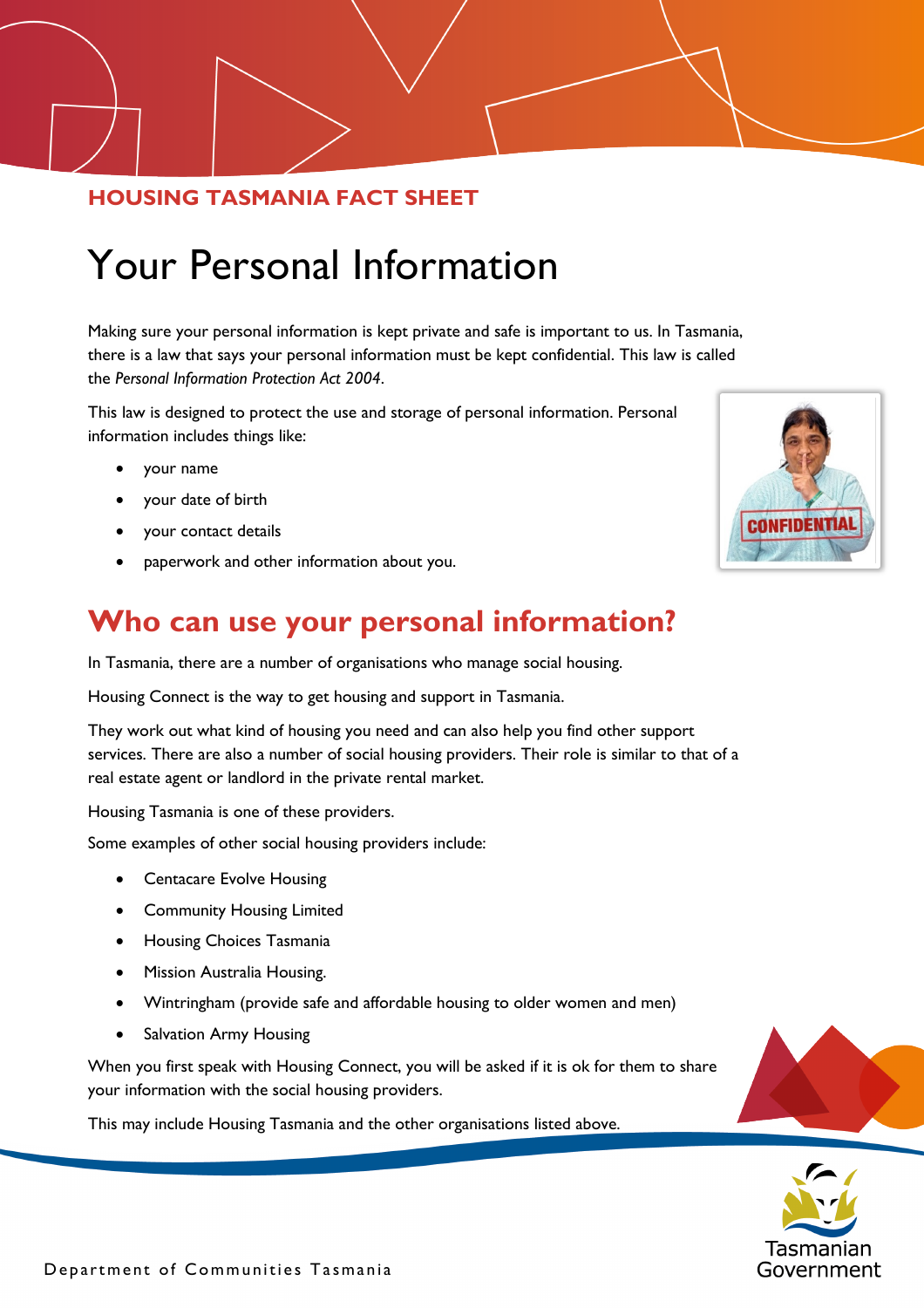#### **HOUSING TASMANIA FACT SHEET**

# Your Personal Information

Making sure your personal information is kept private and safe is important to us. In Tasmania, there is a law that says your personal information must be kept confidential. This law is called the *Personal Information Protection Act 2004*.

This law is designed to protect the use and storage of personal information. Personal information includes things like:

- your name
- your date of birth
- your contact details
- paperwork and other information about you.

#### **Who can use your personal information?**

In Tasmania, there are a number of organisations who manage social housing.

Housing Connect is the way to get housing and support in Tasmania.

They work out what kind of housing you need and can also help you find other support services. There are also a number of social housing providers. Their role is similar to that of a real estate agent or landlord in the private rental market.

Housing Tasmania is one of these providers.

Some examples of other social housing providers include:

- Centacare Evolve Housing
- Community Housing Limited
- Housing Choices Tasmania
- Mission Australia Housing.
- Wintringham (provide safe and affordable housing to older women and men)
- Salvation Army Housing

When you first speak with Housing Connect, you will be asked if it is ok for them to share your information with the social housing providers.

This may include Housing Tasmania and the other organisations listed above.





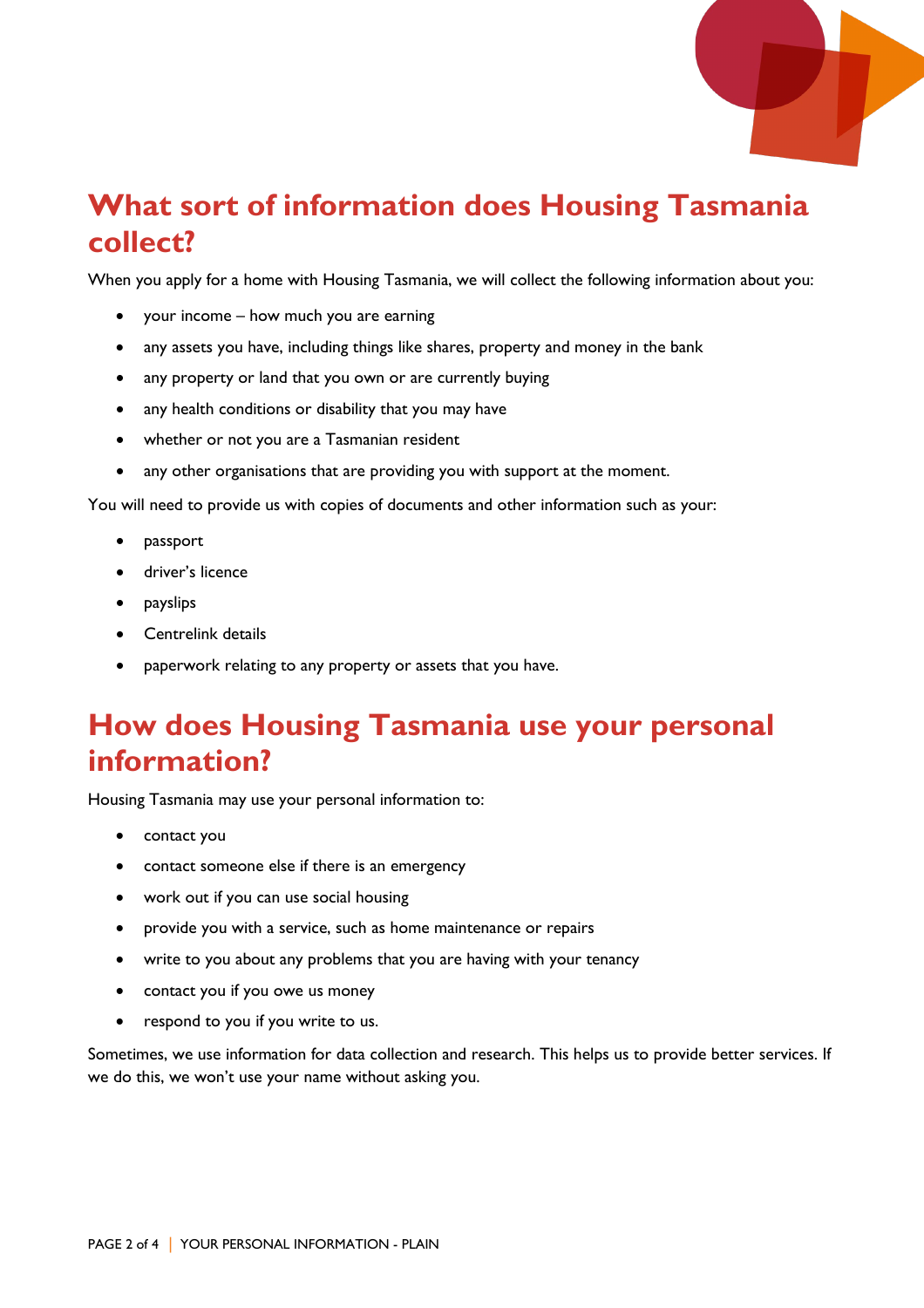

#### **What sort of information does Housing Tasmania collect?**

When you apply for a home with Housing Tasmania, we will collect the following information about you:

- your income how much you are earning
- any assets you have, including things like shares, property and money in the bank
- any property or land that you own or are currently buying
- any health conditions or disability that you may have
- whether or not you are a Tasmanian resident
- any other organisations that are providing you with support at the moment.

You will need to provide us with copies of documents and other information such as your:

- passport
- driver's licence
- payslips
- Centrelink details
- paperwork relating to any property or assets that you have.

#### **How does Housing Tasmania use your personal information?**

Housing Tasmania may use your personal information to:

- contact you
- contact someone else if there is an emergency
- work out if you can use social housing
- provide you with a service, such as home maintenance or repairs
- write to you about any problems that you are having with your tenancy
- contact you if you owe us money
- respond to you if you write to us.

Sometimes, we use information for data collection and research. This helps us to provide better services. If we do this, we won't use your name without asking you.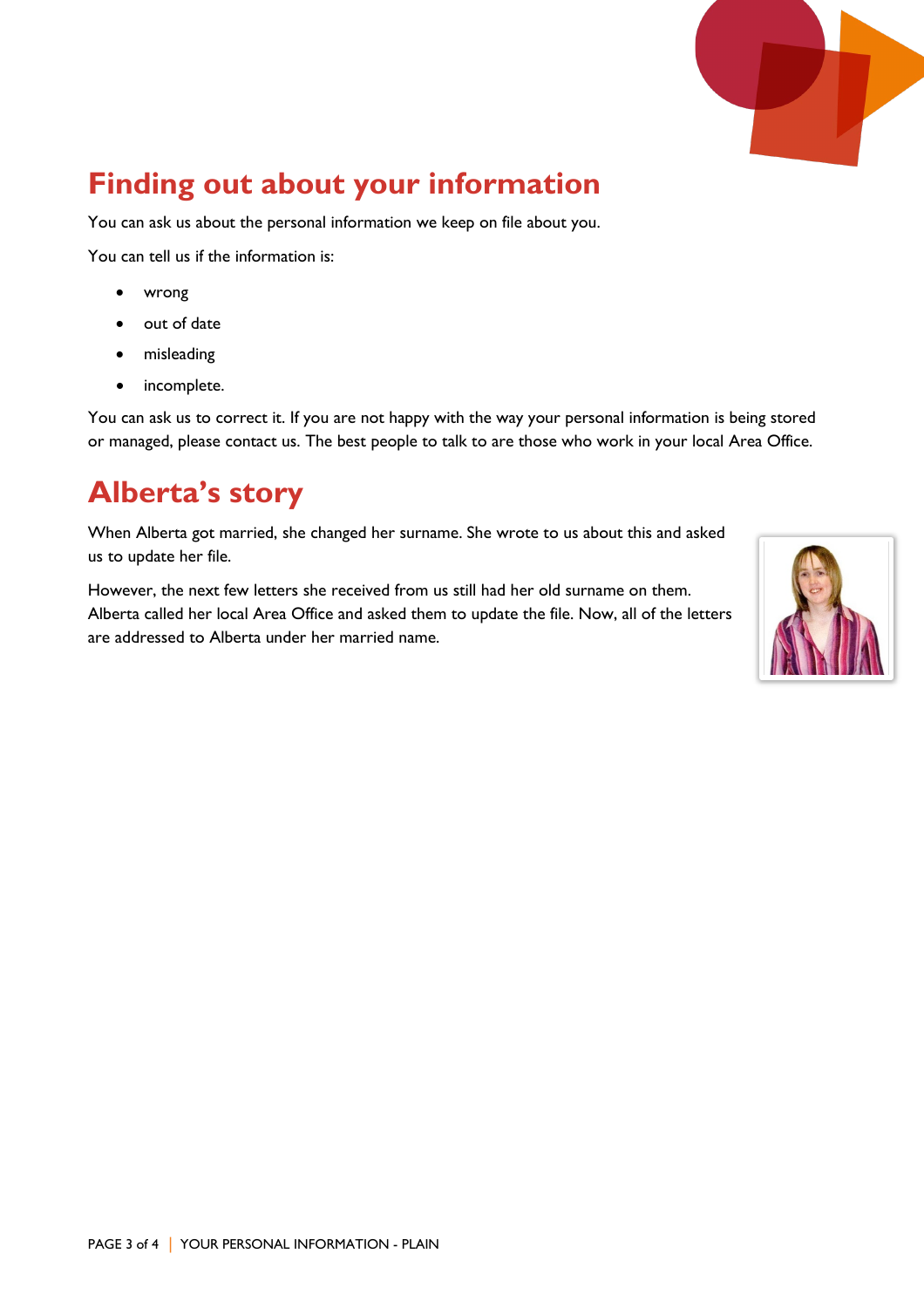

## **Finding out about your information**

You can ask us about the personal information we keep on file about you.

You can tell us if the information is:

- wrong
- out of date
- misleading
- incomplete.

You can ask us to correct it. If you are not happy with the way your personal information is being stored or managed, please contact us. The best people to talk to are those who work in your local Area Office.

### **Alberta's story**

When Alberta got married, she changed her surname. She wrote to us about this and asked us to update her file.

However, the next few letters she received from us still had her old surname on them. Alberta called her local Area Office and asked them to update the file. Now, all of the letters are addressed to Alberta under her married name.